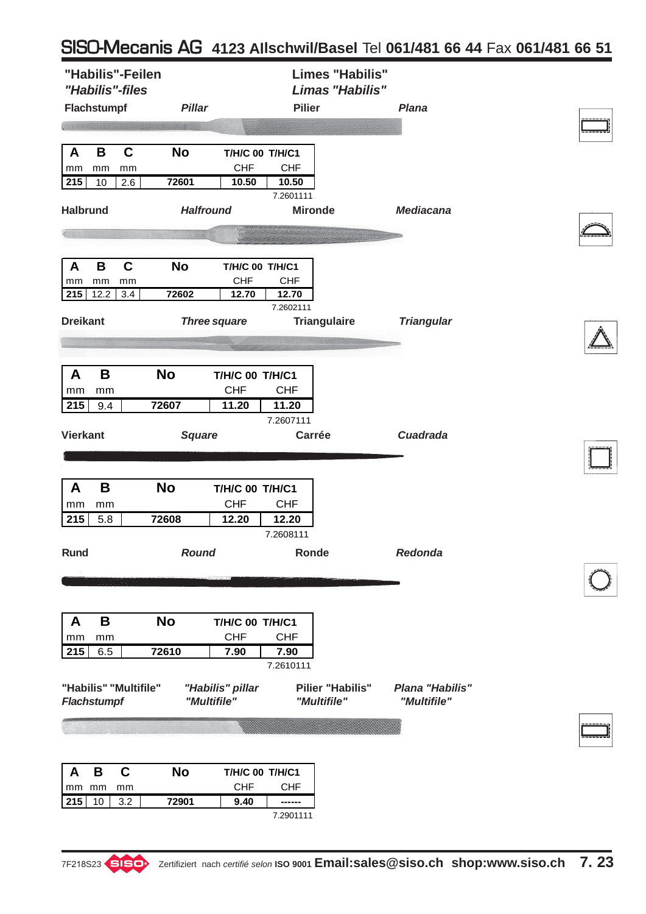## SISO-Mecanis AG **4123 Allschwil/Basel** Tel **061/481 66 44** Fax **061/481 66 51**

| "Habilis"-Feilen<br>"Habilis"-files<br>Flachstumpf                       | <b>Pillar</b>                   | <b>Pilier</b>                                                                     | <b>Limes "Habilis"</b><br>Limas "Habilis" | <b>Plana</b>                   |  |
|--------------------------------------------------------------------------|---------------------------------|-----------------------------------------------------------------------------------|-------------------------------------------|--------------------------------|--|
| $\mathbf c$<br>B<br>A<br>mm<br>mm<br>mm<br>215<br>10<br>2.6              | <b>No</b><br>72601              | T/H/C 00 T/H/C1<br><b>CHF</b><br><b>CHF</b><br>10.50<br>10.50<br>7.2601111        |                                           |                                |  |
| <b>Halbrund</b>                                                          | <b>Halfround</b>                |                                                                                   | <b>Mironde</b>                            | <b>Mediacana</b>               |  |
|                                                                          |                                 |                                                                                   |                                           |                                |  |
| $\mathbf c$<br>В<br>$\mathbf{A}$<br>mm<br>mm<br>mm<br>215<br>12.2<br>3.4 | <b>No</b><br>72602              | T/H/C 00 T/H/C1<br><b>CHF</b><br><b>CHF</b><br>12.70<br>12.70                     |                                           |                                |  |
| <b>Dreikant</b>                                                          | <b>Three square</b>             | 7.2602111                                                                         | <b>Triangulaire</b>                       | <b>Triangular</b>              |  |
|                                                                          |                                 |                                                                                   |                                           |                                |  |
| B<br>A<br>mm<br>mm<br>215<br>9.4                                         | <b>No</b><br>72607              | <b>T/H/C 00 T/H/C1</b><br><b>CHF</b><br><b>CHF</b><br>11.20<br>11.20              |                                           |                                |  |
| <b>Vierkant</b>                                                          | <b>Square</b>                   | 7.2607111                                                                         | Carrée                                    | <b>Cuadrada</b>                |  |
|                                                                          |                                 |                                                                                   |                                           |                                |  |
| B<br>A<br>mm<br>mm<br>215<br>5.8                                         | <b>No</b><br>72608              | <b>T/H/C 00 T/H/C1</b><br><b>CHF</b><br><b>CHF</b><br>12.20<br>12.20<br>7.2608111 |                                           |                                |  |
| <b>Rund</b>                                                              | <b>Round</b>                    | Ronde                                                                             |                                           | Redonda                        |  |
|                                                                          |                                 |                                                                                   |                                           |                                |  |
|                                                                          |                                 |                                                                                   |                                           |                                |  |
| B<br>A<br>mm<br>mm                                                       | <b>No</b>                       | <b>T/H/C 00 T/H/C1</b><br><b>CHF</b><br><b>CHF</b>                                |                                           |                                |  |
| 215<br>6.5                                                               | 72610                           | 7.90<br>7.90                                                                      |                                           |                                |  |
| "Habilis" "Multifile"<br><b>Flachstumpf</b>                              | "Habilis" pillar<br>"Multifile" | 7.2610111                                                                         | <b>Pilier "Habilis"</b><br>"Multifile"    | Plana "Habilis"<br>"Multifile" |  |
|                                                                          |                                 |                                                                                   |                                           |                                |  |
| $\mathbf c$<br>B<br>A<br>mm mm<br>mm                                     | <b>No</b>                       | T/H/C 00 T/H/C1<br><b>CHF</b><br><b>CHF</b>                                       |                                           |                                |  |
| 215<br>10<br>3.2                                                         | 72901                           | 9.40<br>------                                                                    |                                           |                                |  |
|                                                                          |                                 | 7.2901111                                                                         |                                           |                                |  |